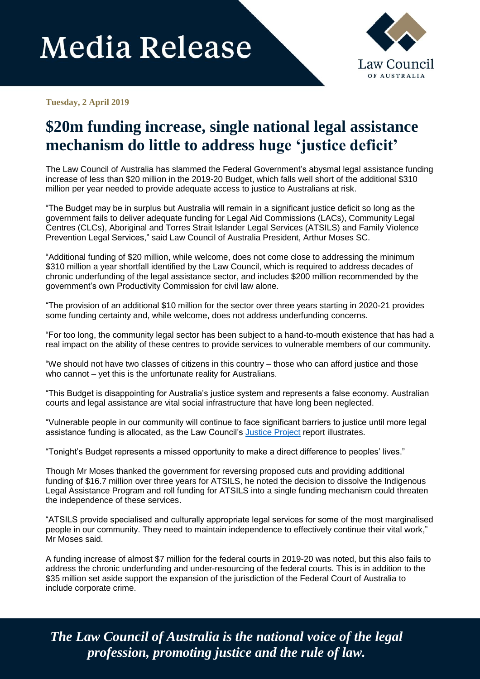# **Media Release**



**Tuesday, 2 April 2019**

### **\$20m funding increase, single national legal assistance mechanism do little to address huge 'justice deficit'**

The Law Council of Australia has slammed the Federal Government's abysmal legal assistance funding increase of less than \$20 million in the 2019-20 Budget, which falls well short of the additional \$310 million per year needed to provide adequate access to justice to Australians at risk.

"The Budget may be in surplus but Australia will remain in a significant justice deficit so long as the government fails to deliver adequate funding for Legal Aid Commissions (LACs), Community Legal Centres (CLCs), Aboriginal and Torres Strait Islander Legal Services (ATSILS) and Family Violence Prevention Legal Services," said Law Council of Australia President, Arthur Moses SC.

"Additional funding of \$20 million, while welcome, does not come close to addressing the minimum \$310 million a year shortfall identified by the Law Council, which is required to address decades of chronic underfunding of the legal assistance sector, and includes \$200 million recommended by the government's own Productivity Commission for civil law alone.

"The provision of an additional \$10 million for the sector over three years starting in 2020-21 provides some funding certainty and, while welcome, does not address underfunding concerns.

"For too long, the community legal sector has been subject to a hand-to-mouth existence that has had a real impact on the ability of these centres to provide services to vulnerable members of our community.

"We should not have two classes of citizens in this country – those who can afford justice and those who cannot – yet this is the unfortunate reality for Australians.

"This Budget is disappointing for Australia's justice system and represents a false economy. Australian courts and legal assistance are vital social infrastructure that have long been neglected.

"Vulnerable people in our community will continue to face significant barriers to justice until more legal assistance funding is allocated, as the Law Council's [Justice Project](https://www.lawcouncil.asn.au/justice-project) report illustrates.

"Tonight's Budget represents a missed opportunity to make a direct difference to peoples' lives."

Though Mr Moses thanked the government for reversing proposed cuts and providing additional funding of \$16.7 million over three years for ATSILS, he noted the decision to dissolve the Indigenous Legal Assistance Program and roll funding for ATSILS into a single funding mechanism could threaten the independence of these services.

"ATSILS provide specialised and culturally appropriate legal services for some of the most marginalised people in our community. They need to maintain independence to effectively continue their vital work," Mr Moses said.

A funding increase of almost \$7 million for the federal courts in 2019-20 was noted, but this also fails to address the chronic underfunding and under-resourcing of the federal courts. This is in addition to the \$35 million set aside support the expansion of the jurisdiction of the Federal Court of Australia to include corporate crime.

*The Law Council of Australia is the national voice of the legal profession, promoting justice and the rule of law.*